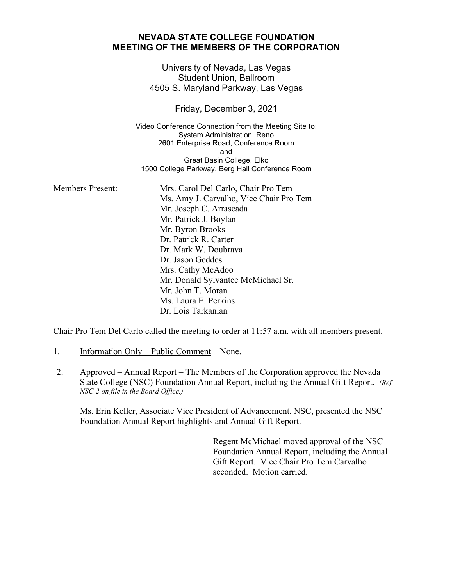## **NEVADA STATE COLLEGE FOUNDATION MEETING OF THE MEMBERS OF THE CORPORATION**

University of Nevada, Las Vegas Student Union, Ballroom 4505 S. Maryland Parkway, Las Vegas

Friday, December 3, 2021

Video Conference Connection from the Meeting Site to: System Administration, Reno 2601 Enterprise Road, Conference Room and Great Basin College, Elko 1500 College Parkway, Berg Hall Conference Room

| <b>Members Present:</b> | Mrs. Carol Del Carlo, Chair Pro Tem     |
|-------------------------|-----------------------------------------|
|                         | Ms. Amy J. Carvalho, Vice Chair Pro Tem |
|                         | Mr. Joseph C. Arrascada                 |
|                         | Mr. Patrick J. Boylan                   |
|                         | Mr. Byron Brooks                        |
|                         | Dr. Patrick R. Carter                   |
|                         | Dr. Mark W. Doubrava                    |
|                         | Dr. Jason Geddes                        |
|                         | Mrs. Cathy McAdoo                       |
|                         | Mr. Donald Sylvantee McMichael Sr.      |
|                         | Mr. John T. Moran                       |
|                         | Ms. Laura E. Perkins                    |
|                         | Dr. Lois Tarkanian                      |

Chair Pro Tem Del Carlo called the meeting to order at 11:57 a.m. with all members present.

- 1. Information Only Public Comment None.
- 2. Approved Annual Report The Members of the Corporation approved the Nevada State College (NSC) Foundation Annual Report, including the Annual Gift Report. *(Ref. NSC-2 on file in the Board Office.)*

Ms. Erin Keller, Associate Vice President of Advancement, NSC, presented the NSC Foundation Annual Report highlights and Annual Gift Report.

> Regent McMichael moved approval of the NSC Foundation Annual Report, including the Annual Gift Report. Vice Chair Pro Tem Carvalho seconded. Motion carried.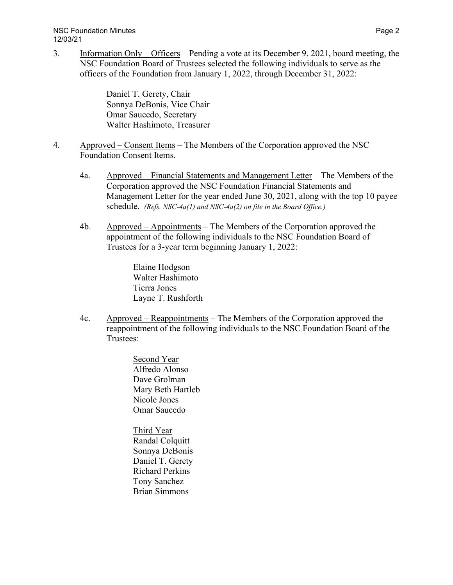NSC Foundation Minutes **Page 2** and the state of the state of the state of the state of the state of the state of the state of the state of the state of the state of the state of the state of the state of the state of the 12/03/21

3. Information Only – Officers – Pending a vote at its December 9, 2021, board meeting, the NSC Foundation Board of Trustees selected the following individuals to serve as the officers of the Foundation from January 1, 2022, through December 31, 2022:

> Daniel T. Gerety, Chair Sonnya DeBonis, Vice Chair Omar Saucedo, Secretary Walter Hashimoto, Treasurer

- 4. Approved Consent Items The Members of the Corporation approved the NSC Foundation Consent Items.
	- 4a. Approved Financial Statements and Management Letter The Members of the Corporation approved the NSC Foundation Financial Statements and Management Letter for the year ended June 30, 2021, along with the top 10 payee schedule. *(Refs. NSC-4a(1) and NSC-4a(2) on file in the Board Office.)*
	- 4b. Approved Appointments The Members of the Corporation approved the appointment of the following individuals to the NSC Foundation Board of Trustees for a 3-year term beginning January 1, 2022:

Elaine Hodgson Walter Hashimoto Tierra Jones Layne T. Rushforth

4c. Approved – Reappointments – The Members of the Corporation approved the reappointment of the following individuals to the NSC Foundation Board of the Trustees:

> Second Year Alfredo Alonso Dave Grolman Mary Beth Hartleb Nicole Jones Omar Saucedo

Third Year Randal Colquitt Sonnya DeBonis Daniel T. Gerety Richard Perkins Tony Sanchez Brian Simmons